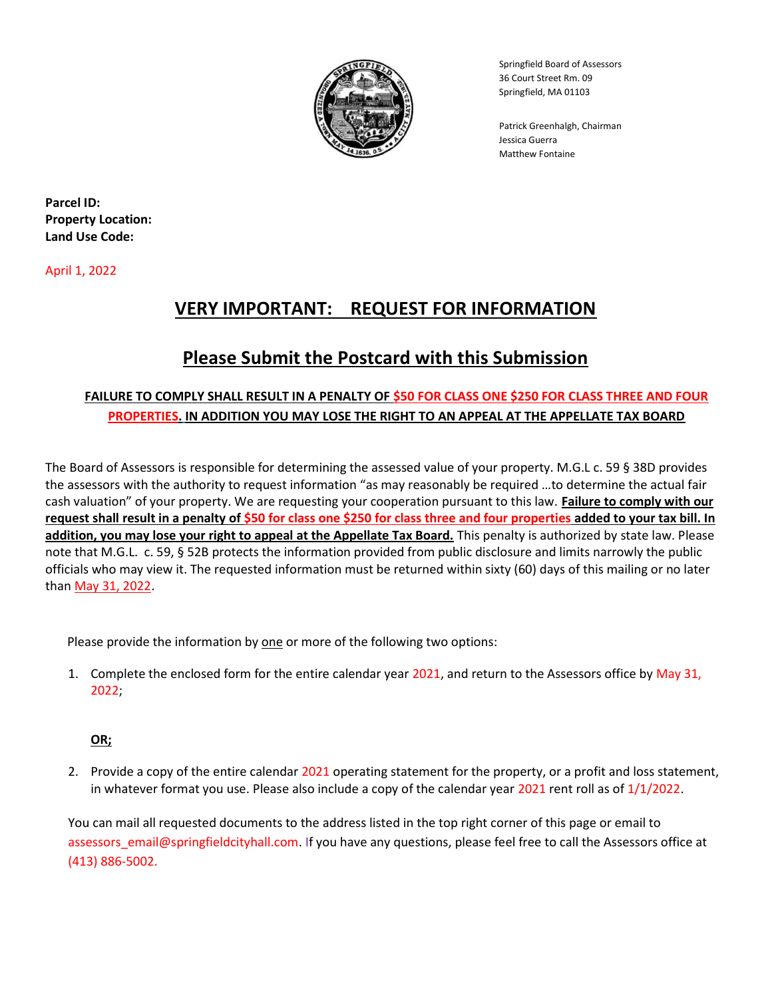

Springfield Board of Assessors 36 Court Street Rm. 09 Springfield, MA 01103

 Patrick Greenhalgh, Chairman Jessica Guerra Matthew Fontaine

Parcel ID: Property Location: Land Use Code:

April 1, 2022

# VERY IMPORTANT: REQUEST FOR INFORMATION

# Please Submit the Postcard with this Submission

### FAILURE TO COMPLY SHALL RESULT IN A PENALTY OF \$50 FOR CLASS ONE \$250 FOR CLASS THREE AND FOUR PROPERTIES. IN ADDITION YOU MAY LOSE THE RIGHT TO AN APPEAL AT THE APPELLATE TAX BOARD

The Board of Assessors is responsible for determining the assessed value of your property. M.G.L c. 59 § 38D provides the assessors with the authority to request information "as may reasonably be required …to determine the actual fair cash valuation" of your property. We are requesting your cooperation pursuant to this law. Failure to comply with our request shall result in a penalty of \$50 for class one \$250 for class three and four properties added to your tax bill. In addition, you may lose your right to appeal at the Appellate Tax Board. This penalty is authorized by state law. Please note that M.G.L. c. 59, § 52B protects the information provided from public disclosure and limits narrowly the public officials who may view it. The requested information must be returned within sixty (60) days of this mailing or no later than May 31, 2022.

Please provide the information by one or more of the following two options:

1. Complete the enclosed form for the entire calendar year 2021, and return to the Assessors office by May 31, 2022;

### OR;

2. Provide a copy of the entire calendar 2021 operating statement for the property, or a profit and loss statement, in whatever format you use. Please also include a copy of the calendar year  $2021$  rent roll as of  $1/1/2022$ .

You can mail all requested documents to the address listed in the top right corner of this page or email to assessors\_email@springfieldcityhall.com. If you have any questions, please feel free to call the Assessors office at (413) 886-5002.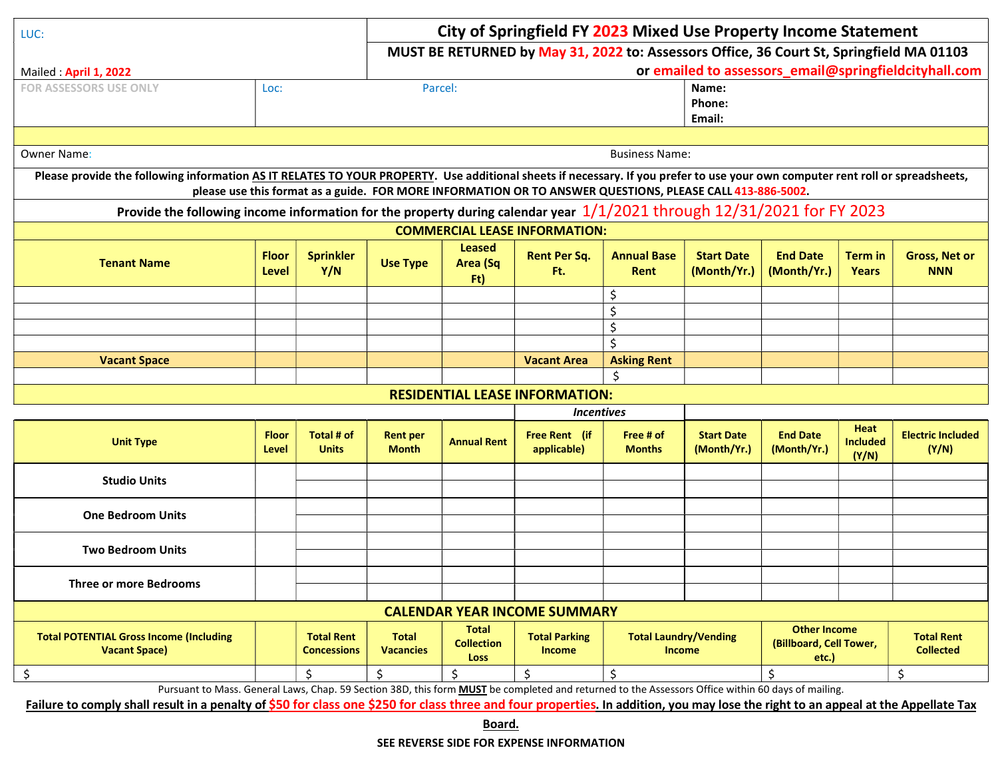| LUC:                                                                                                                                                                           |                              |                                                                                          | City of Springfield FY 2023 Mixed Use Property Income Statement |                                                                                                                            |                                                                                                           |                                               |                                  |                                                         |                                  |                                       |
|--------------------------------------------------------------------------------------------------------------------------------------------------------------------------------|------------------------------|------------------------------------------------------------------------------------------|-----------------------------------------------------------------|----------------------------------------------------------------------------------------------------------------------------|-----------------------------------------------------------------------------------------------------------|-----------------------------------------------|----------------------------------|---------------------------------------------------------|----------------------------------|---------------------------------------|
|                                                                                                                                                                                |                              | MUST BE RETURNED by May 31, 2022 to: Assessors Office, 36 Court St, Springfield MA 01103 |                                                                 |                                                                                                                            |                                                                                                           |                                               |                                  |                                                         |                                  |                                       |
| Mailed: April 1, 2022                                                                                                                                                          |                              |                                                                                          | or emailed to assessors_email@springfieldcityhall.com           |                                                                                                                            |                                                                                                           |                                               |                                  |                                                         |                                  |                                       |
| <b>FOR ASSESSORS USE ONLY</b>                                                                                                                                                  | Loc:                         | Parcel:                                                                                  |                                                                 |                                                                                                                            | Name:                                                                                                     |                                               |                                  |                                                         |                                  |                                       |
|                                                                                                                                                                                |                              |                                                                                          |                                                                 |                                                                                                                            |                                                                                                           |                                               | Phone:                           |                                                         |                                  |                                       |
|                                                                                                                                                                                | Email:                       |                                                                                          |                                                                 |                                                                                                                            |                                                                                                           |                                               |                                  |                                                         |                                  |                                       |
| <b>Owner Name:</b>                                                                                                                                                             | <b>Business Name:</b>        |                                                                                          |                                                                 |                                                                                                                            |                                                                                                           |                                               |                                  |                                                         |                                  |                                       |
| Please provide the following information AS IT RELATES TO YOUR PROPERTY. Use additional sheets if necessary. If you prefer to use your own computer rent roll or spreadsheets, |                              |                                                                                          |                                                                 |                                                                                                                            |                                                                                                           |                                               |                                  |                                                         |                                  |                                       |
|                                                                                                                                                                                |                              |                                                                                          |                                                                 |                                                                                                                            | please use this format as a guide. FOR MORE INFORMATION OR TO ANSWER QUESTIONS, PLEASE CALL 413-886-5002. |                                               |                                  |                                                         |                                  |                                       |
|                                                                                                                                                                                |                              |                                                                                          |                                                                 | Provide the following income information for the property during calendar year $1/1/2021$ through $12/31/2021$ for FY 2023 |                                                                                                           |                                               |                                  |                                                         |                                  |                                       |
|                                                                                                                                                                                |                              |                                                                                          |                                                                 |                                                                                                                            | <b>COMMERCIAL LEASE INFORMATION:</b>                                                                      |                                               |                                  |                                                         |                                  |                                       |
| <b>Tenant Name</b>                                                                                                                                                             | <b>Floor</b><br><b>Level</b> | <b>Sprinkler</b><br>Y/N                                                                  | <b>Use Type</b>                                                 | <b>Leased</b><br>Area (Sq<br>Ft)                                                                                           | <b>Rent Per Sq.</b><br>Ft.                                                                                | <b>Annual Base</b><br>Rent                    | <b>Start Date</b><br>(Month/Yr.) | <b>End Date</b><br>(Month/Yr.)                          | <b>Term</b> in<br><b>Years</b>   | <b>Gross, Net or</b><br><b>NNN</b>    |
|                                                                                                                                                                                |                              |                                                                                          |                                                                 |                                                                                                                            |                                                                                                           | \$                                            |                                  |                                                         |                                  |                                       |
|                                                                                                                                                                                |                              |                                                                                          |                                                                 |                                                                                                                            |                                                                                                           | \$                                            |                                  |                                                         |                                  |                                       |
|                                                                                                                                                                                |                              |                                                                                          |                                                                 |                                                                                                                            |                                                                                                           | \$                                            |                                  |                                                         |                                  |                                       |
|                                                                                                                                                                                |                              |                                                                                          |                                                                 |                                                                                                                            |                                                                                                           | \$                                            |                                  |                                                         |                                  |                                       |
| <b>Vacant Space</b>                                                                                                                                                            |                              |                                                                                          |                                                                 |                                                                                                                            | <b>Vacant Area</b>                                                                                        | <b>Asking Rent</b>                            |                                  |                                                         |                                  |                                       |
|                                                                                                                                                                                |                              |                                                                                          |                                                                 |                                                                                                                            | <b>RESIDENTIAL LEASE INFORMATION:</b>                                                                     | \$                                            |                                  |                                                         |                                  |                                       |
|                                                                                                                                                                                |                              |                                                                                          |                                                                 |                                                                                                                            | <i><u><b>Incentives</b></u></i>                                                                           |                                               |                                  |                                                         |                                  |                                       |
| <b>Unit Type</b>                                                                                                                                                               | <b>Floor</b><br>Level        | Total # of<br><b>Units</b>                                                               | <b>Rent per</b><br><b>Month</b>                                 | <b>Annual Rent</b>                                                                                                         | Free Rent (if<br>applicable)                                                                              | Free # of<br><b>Months</b>                    | <b>Start Date</b><br>(Month/Yr.) | <b>End Date</b><br>(Month/Yr.)                          | Heat<br><b>Included</b><br>(Y/N) | <b>Electric Included</b><br>(Y/N)     |
| <b>Studio Units</b>                                                                                                                                                            |                              |                                                                                          |                                                                 |                                                                                                                            |                                                                                                           |                                               |                                  |                                                         |                                  |                                       |
|                                                                                                                                                                                |                              |                                                                                          |                                                                 |                                                                                                                            |                                                                                                           |                                               |                                  |                                                         |                                  |                                       |
| <b>One Bedroom Units</b>                                                                                                                                                       |                              |                                                                                          |                                                                 |                                                                                                                            |                                                                                                           |                                               |                                  |                                                         |                                  |                                       |
|                                                                                                                                                                                |                              |                                                                                          |                                                                 |                                                                                                                            |                                                                                                           |                                               |                                  |                                                         |                                  |                                       |
| <b>Two Bedroom Units</b>                                                                                                                                                       |                              |                                                                                          |                                                                 |                                                                                                                            |                                                                                                           |                                               |                                  |                                                         |                                  |                                       |
| <b>Three or more Bedrooms</b>                                                                                                                                                  |                              |                                                                                          |                                                                 |                                                                                                                            |                                                                                                           |                                               |                                  |                                                         |                                  |                                       |
|                                                                                                                                                                                |                              |                                                                                          |                                                                 |                                                                                                                            |                                                                                                           |                                               |                                  |                                                         |                                  |                                       |
| <b>CALENDAR YEAR INCOME SUMMARY</b>                                                                                                                                            |                              |                                                                                          |                                                                 |                                                                                                                            |                                                                                                           |                                               |                                  |                                                         |                                  |                                       |
| <b>Total POTENTIAL Gross Income (Including</b><br><b>Vacant Space)</b>                                                                                                         |                              | <b>Total Rent</b><br><b>Concessions</b>                                                  | <b>Total</b><br><b>Vacancies</b>                                | <b>Total</b><br><b>Collection</b><br><b>Loss</b>                                                                           | <b>Total Parking</b><br><b>Income</b>                                                                     | <b>Total Laundry/Vending</b><br><b>Income</b> |                                  | <b>Other Income</b><br>(Billboard, Cell Tower,<br>etc.) |                                  | <b>Total Rent</b><br><b>Collected</b> |
| \$                                                                                                                                                                             |                              | \$                                                                                       | \$                                                              | \$                                                                                                                         | \$                                                                                                        | \$                                            |                                  | \$                                                      |                                  | \$                                    |
| Pursuant to Mass. General Laws, Chap. 59 Section 38D, this form <b>MUST</b> be completed and returned to the Assessors Office within 60 days of mailing.                       |                              |                                                                                          |                                                                 |                                                                                                                            |                                                                                                           |                                               |                                  |                                                         |                                  |                                       |

Failure to comply shall result in a penalty of \$50 for class one \$250 for class three and four properties. In addition, you may lose the right to an appeal at the Appellate Tax

Board.

SEE REVERSE SIDE FOR EXPENSE INFORMATION